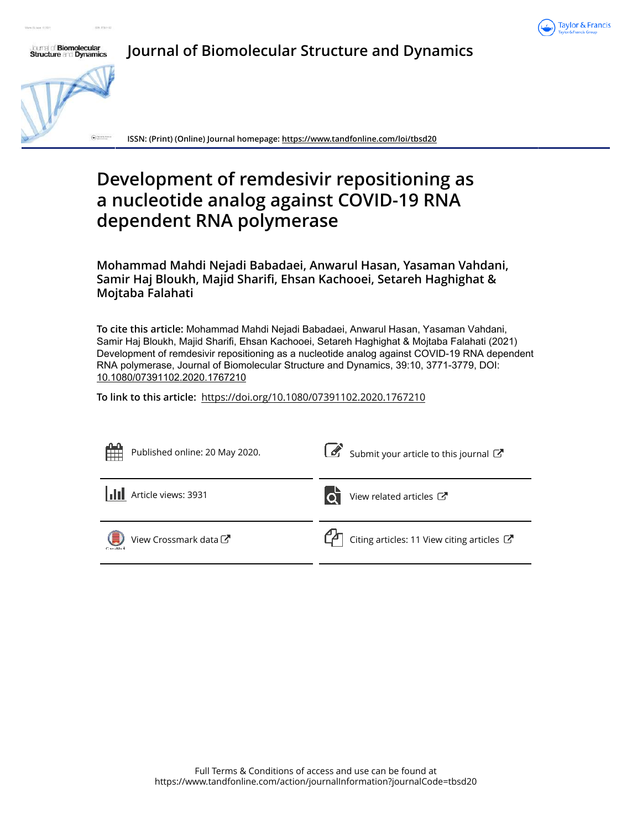



**Journal of Biomolecular Structure and Dynamics**

**ISSN: (Print) (Online) Journal homepage: https://www.tandfonline.com/loi/tbsd20**

# **Development of remdesivir repositioning as a nucleotide analog against COVID-19 RNA dependent RNA polymerase**

**Mohammad Mahdi Nejadi Babadaei, Anwarul Hasan, Yasaman Vahdani, Samir Haj Bloukh, Majid Sharifi, Ehsan Kachooei, Setareh Haghighat & Mojtaba Falahati**

**To cite this article:** Mohammad Mahdi Nejadi Babadaei, Anwarul Hasan, Yasaman Vahdani, Samir Haj Bloukh, Majid Sharifi, Ehsan Kachooei, Setareh Haghighat & Mojtaba Falahati (2021) Development of remdesivir repositioning as a nucleotide analog against COVID-19 RNA dependent RNA polymerase, Journal of Biomolecular Structure and Dynamics, 39:10, 3771-3779, DOI: 10.1080/07391102.2020.1767210

**To link to this article:** https://doi.org/10.1080/07391102.2020.1767210

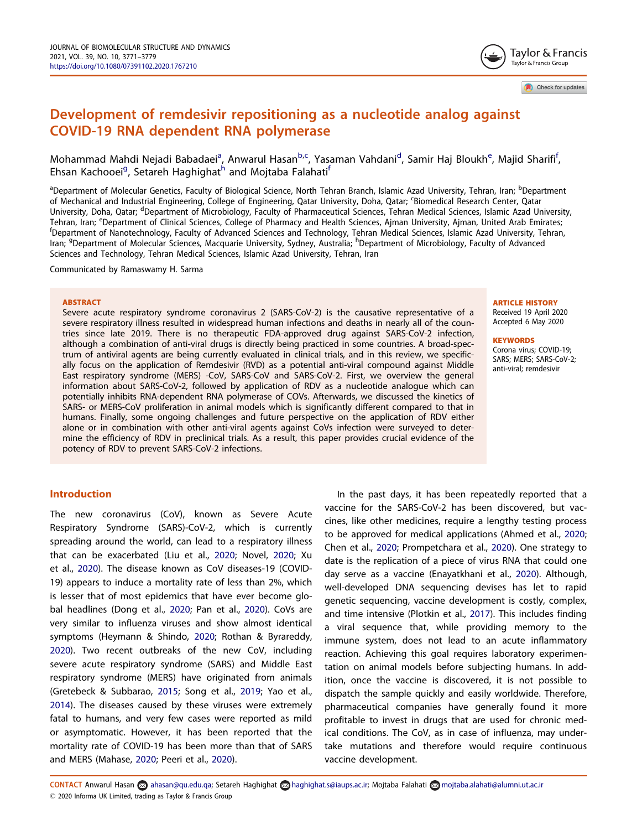# Development of remdesivir repositioning as a nucleotide analog against COVID-19 RNA dependent RNA polymerase

Mohammad Mahdi Nejadi Babadaei<sup>a</sup>, Anwarul Hasan<sup>b,c</sup>, Yasaman Vahdani<sup>d</sup>, Samir Haj Bloukh<sup>e</sup>, Majid Sharifi<sup>f</sup>, Ehsan Kachooei<sup>g</sup>, Setareh Haghighat<sup>h</sup> and Mojtaba Falahati<sup>f</sup>

<sup>a</sup>Department of Molecular Genetics, Faculty of Biological Science, North Tehran Branch, Islamic Azad University, Tehran, Iran; <sup>b</sup>Department of Mechanical and Industrial Engineering, College of Engineering, Qatar University, Doha, Qatar; <sup>c</sup>Biomedical Research Center, Qatar University, Doha, Qatar; <sup>d</sup>Department of Microbiology, Faculty of Pharmaceutical Sciences, Tehran Medical Sciences, Islamic Azad University, Tehran, Iran; <sup>e</sup>Department of Clinical Sciences, College of Pharmacy and Health Sciences, Ajman University, Ajman, United Arab Emirates; f Department of Nanotechnology, Faculty of Advanced Sciences and Technology, Tehran Medical Sciences, Islamic Azad University, Tehran, Iran; <sup>g</sup>Department of Molecular Sciences, Macquarie University, Sydney, Australia; <sup>h</sup>Department of Microbiology, Faculty of Advanced Sciences and Technology, Tehran Medical Sciences, Islamic Azad University, Tehran, Iran

Communicated by Ramaswamy H. Sarma

#### ABSTRACT

Severe acute respiratory syndrome coronavirus 2 (SARS-CoV-2) is the causative representative of a severe respiratory illness resulted in widespread human infections and deaths in nearly all of the countries since late 2019. There is no therapeutic FDA-approved drug against SARS-CoV-2 infection, although a combination of anti-viral drugs is directly being practiced in some countries. A broad-spectrum of antiviral agents are being currently evaluated in clinical trials, and in this review, we specifically focus on the application of Remdesivir (RVD) as a potential anti-viral compound against Middle East respiratory syndrome (MERS) -CoV, SARS-CoV and SARS-CoV-2. First, we overview the general information about SARS-CoV-2, followed by application of RDV as a nucleotide analogue which can potentially inhibits RNA-dependent RNA polymerase of COVs. Afterwards, we discussed the kinetics of SARS- or MERS-CoV proliferation in animal models which is significantly different compared to that in humans. Finally, some ongoing challenges and future perspective on the application of RDV either alone or in combination with other anti-viral agents against CoVs infection were surveyed to determine the efficiency of RDV in preclinical trials. As a result, this paper provides crucial evidence of the potency of RDV to prevent SARS-CoV-2 infections.

# Introduction

The new coronavirus (CoV), known as Severe Acute Respiratory Syndrome (SARS)-CoV-2, which is currently spreading around the world, can lead to a respiratory illness that can be exacerbated (Liu et al., 2020; Novel, 2020; Xu et al., 2020). The disease known as CoV diseases-19 (COVID-19) appears to induce a mortality rate of less than 2%, which is lesser that of most epidemics that have ever become global headlines (Dong et al., 2020; Pan et al., 2020). CoVs are very similar to influenza viruses and show almost identical symptoms (Heymann & Shindo, 2020; Rothan & Byrareddy, 2020). Two recent outbreaks of the new CoV, including severe acute respiratory syndrome (SARS) and Middle East respiratory syndrome (MERS) have originated from animals (Gretebeck & Subbarao, 2015; Song et al., 2019; Yao et al., 2014). The diseases caused by these viruses were extremely fatal to humans, and very few cases were reported as mild or asymptomatic. However, it has been reported that the mortality rate of COVID-19 has been more than that of SARS and MERS (Mahase, 2020; Peeri et al., 2020).

In the past days, it has been repeatedly reported that a vaccine for the SARS-CoV-2 has been discovered, but vaccines, like other medicines, require a lengthy testing process to be approved for medical applications (Ahmed et al., 2020; Chen et al., 2020; Prompetchara et al., 2020). One strategy to date is the replication of a piece of virus RNA that could one day serve as a vaccine (Enayatkhani et al., 2020). Although, well-developed DNA sequencing devises has let to rapid genetic sequencing, vaccine development is costly, complex, and time intensive (Plotkin et al., 2017). This includes finding a viral sequence that, while providing memory to the immune system, does not lead to an acute inflammatory reaction. Achieving this goal requires laboratory experimentation on animal models before subjecting humans. In addition, once the vaccine is discovered, it is not possible to dispatch the sample quickly and easily worldwide. Therefore, pharmaceutical companies have generally found it more profitable to invest in drugs that are used for chronic medical conditions. The CoV, as in case of influenza, may undertake mutations and therefore would require continuous vaccine development.

ARTICLE HISTORY Received 19 April 2020 Accepted 6 May 2020

#### **KEYWORDS**

Corona virus; COVID-19; SARS; MERS; SARS-CoV-2; anti-viral; remdesivir

CONTACT Anwarul Hasan a ahasan@qu.edu.qa; Setareh Haghighat a haghighat.s@iaups.ac.ir; Mojtaba Falahati a mojtaba.alahati@alumni.ut.ac.ir 2020 Informa UK Limited, trading as Taylor & Francis Group



Check for updates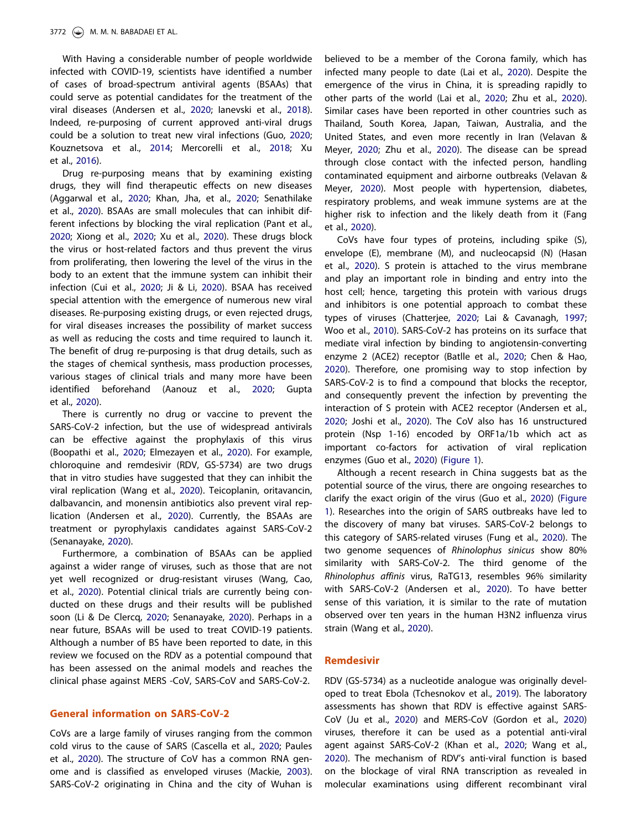With Having a considerable number of people worldwide infected with COVID-19, scientists have identified a number of cases of broad-spectrum antiviral agents (BSAAs) that could serve as potential candidates for the treatment of the viral diseases (Andersen et al., 2020; Ianevski et al., 2018). Indeed, re-purposing of current approved anti-viral drugs could be a solution to treat new viral infections (Guo, 2020; Kouznetsova et al., 2014; Mercorelli et al., 2018; Xu et al., 2016).

Drug re-purposing means that by examining existing drugs, they will find therapeutic effects on new diseases (Aggarwal et al., 2020; Khan, Jha, et al., 2020; Senathilake et al., 2020). BSAAs are small molecules that can inhibit different infections by blocking the viral replication (Pant et al., 2020; Xiong et al., 2020; Xu et al., 2020). These drugs block the virus or host-related factors and thus prevent the virus from proliferating, then lowering the level of the virus in the body to an extent that the immune system can inhibit their infection (Cui et al., 2020; Ji & Li, 2020). BSAA has received special attention with the emergence of numerous new viral diseases. Re-purposing existing drugs, or even rejected drugs, for viral diseases increases the possibility of market success as well as reducing the costs and time required to launch it. The benefit of drug re-purposing is that drug details, such as the stages of chemical synthesis, mass production processes, various stages of clinical trials and many more have been identified beforehand (Aanouz et al., 2020; Gupta et al., 2020).

There is currently no drug or vaccine to prevent the SARS-CoV-2 infection, but the use of widespread antivirals can be effective against the prophylaxis of this virus (Boopathi et al., 2020; Elmezayen et al., 2020). For example, chloroquine and remdesivir (RDV, GS-5734) are two drugs that in vitro studies have suggested that they can inhibit the viral replication (Wang et al., 2020). Teicoplanin, oritavancin, dalbavancin, and monensin antibiotics also prevent viral replication (Andersen et al., 2020). Currently, the BSAAs are treatment or pyrophylaxis candidates against SARS-CoV-2 (Senanayake, 2020).

Furthermore, a combination of BSAAs can be applied against a wider range of viruses, such as those that are not yet well recognized or drug-resistant viruses (Wang, Cao, et al., 2020). Potential clinical trials are currently being conducted on these drugs and their results will be published soon (Li & De Clercq, 2020; Senanayake, 2020). Perhaps in a near future, BSAAs will be used to treat COVID-19 patients. Although a number of BS have been reported to date, in this review we focused on the RDV as a potential compound that has been assessed on the animal models and reaches the clinical phase against MERS -CoV, SARS-CoV and SARS-CoV-2.

#### General information on SARS-CoV-2

CoVs are a large family of viruses ranging from the common cold virus to the cause of SARS (Cascella et al., 2020; Paules et al., 2020). The structure of CoV has a common RNA genome and is classified as enveloped viruses (Mackie, 2003). SARS-CoV-2 originating in China and the city of Wuhan is believed to be a member of the Corona family, which has infected many people to date (Lai et al., 2020). Despite the emergence of the virus in China, it is spreading rapidly to other parts of the world (Lai et al., 2020; Zhu et al., 2020). Similar cases have been reported in other countries such as Thailand, South Korea, Japan, Taiwan, Australia, and the United States, and even more recently in Iran (Velavan & Meyer, 2020; Zhu et al., 2020). The disease can be spread through close contact with the infected person, handling contaminated equipment and airborne outbreaks (Velavan & Meyer, 2020). Most people with hypertension, diabetes, respiratory problems, and weak immune systems are at the higher risk to infection and the likely death from it (Fang et al., 2020).

CoVs have four types of proteins, including spike (S), envelope (E), membrane (M), and nucleocapsid (N) (Hasan et al., 2020). S protein is attached to the virus membrane and play an important role in binding and entry into the host cell; hence, targeting this protein with various drugs and inhibitors is one potential approach to combat these types of viruses (Chatterjee, 2020; Lai & Cavanagh, 1997; Woo et al., 2010). SARS-CoV-2 has proteins on its surface that mediate viral infection by binding to angiotensin-converting enzyme 2 (ACE2) receptor (Batlle et al., 2020; Chen & Hao, 2020). Therefore, one promising way to stop infection by SARS-CoV-2 is to find a compound that blocks the receptor, and consequently prevent the infection by preventing the interaction of S protein with ACE2 receptor (Andersen et al., 2020; Joshi et al., 2020). The CoV also has 16 unstructured protein (Nsp 1-16) encoded by ORF1a/1b which act as important co-factors for activation of viral replication enzymes (Guo et al., 2020) (Figure 1).

Although a recent research in China suggests bat as the potential source of the virus, there are ongoing researches to clarify the exact origin of the virus (Guo et al., 2020) (Figure 1). Researches into the origin of SARS outbreaks have led to the discovery of many bat viruses. SARS-CoV-2 belongs to this category of SARS-related viruses (Fung et al., 2020). The two genome sequences of Rhinolophus sinicus show 80% similarity with SARS-CoV-2. The third genome of the Rhinolophus affinis virus, RaTG13, resembles 96% similarity with SARS-CoV-2 (Andersen et al., 2020). To have better sense of this variation, it is similar to the rate of mutation observed over ten years in the human H3N2 influenza virus strain (Wang et al., 2020).

#### Remdesivir

RDV (GS-5734) as a nucleotide analogue was originally developed to treat Ebola (Tchesnokov et al., 2019). The laboratory assessments has shown that RDV is effective against SARS-CoV (Ju et al., 2020) and MERS-CoV (Gordon et al., 2020) viruses, therefore it can be used as a potential anti-viral agent against SARS-CoV-2 (Khan et al., 2020; Wang et al., 2020). The mechanism of RDV's anti-viral function is based on the blockage of viral RNA transcription as revealed in molecular examinations using different recombinant viral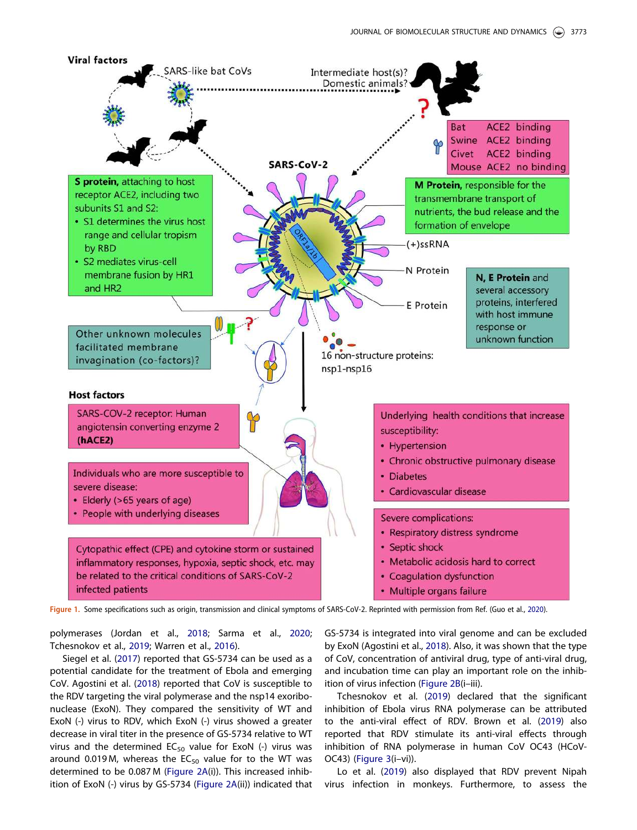

Figure 1. Some specifications such as origin, transmission and clinical symptoms of SARS-CoV-2. Reprinted with permission from Ref. (Guo et al., 2020).

polymerases (Jordan et al., 2018; Sarma et al., 2020; Tchesnokov et al., 2019; Warren et al., 2016).

Siegel et al. (2017) reported that GS-5734 can be used as a potential candidate for the treatment of Ebola and emerging CoV. Agostini et al. (2018) reported that CoV is susceptible to the RDV targeting the viral polymerase and the nsp14 exoribonuclease (ExoN). They compared the sensitivity of WT and ExoN (-) virus to RDV, which ExoN (-) virus showed a greater decrease in viral titer in the presence of GS-5734 relative to WT virus and the determined  $EC_{50}$  value for ExoN (-) virus was around 0.019 M, whereas the  $EC_{50}$  value for to the WT was determined to be 0.087 M (Figure 2A(i)). This increased inhibition of ExoN (-) virus by GS-5734 (Figure 2A(ii)) indicated that GS-5734 is integrated into viral genome and can be excluded by ExoN (Agostini et al., 2018). Also, it was shown that the type of CoV, concentration of antiviral drug, type of anti-viral drug, and incubation time can play an important role on the inhibition of virus infection (Figure 2B(i–iii).

Tchesnokov et al. (2019) declared that the significant inhibition of Ebola virus RNA polymerase can be attributed to the anti-viral effect of RDV. Brown et al. (2019) also reported that RDV stimulate its anti-viral effects through inhibition of RNA polymerase in human CoV OC43 (HCoV-OC43) (Figure 3(i–vi)).

Lo et al. (2019) also displayed that RDV prevent Nipah virus infection in monkeys. Furthermore, to assess the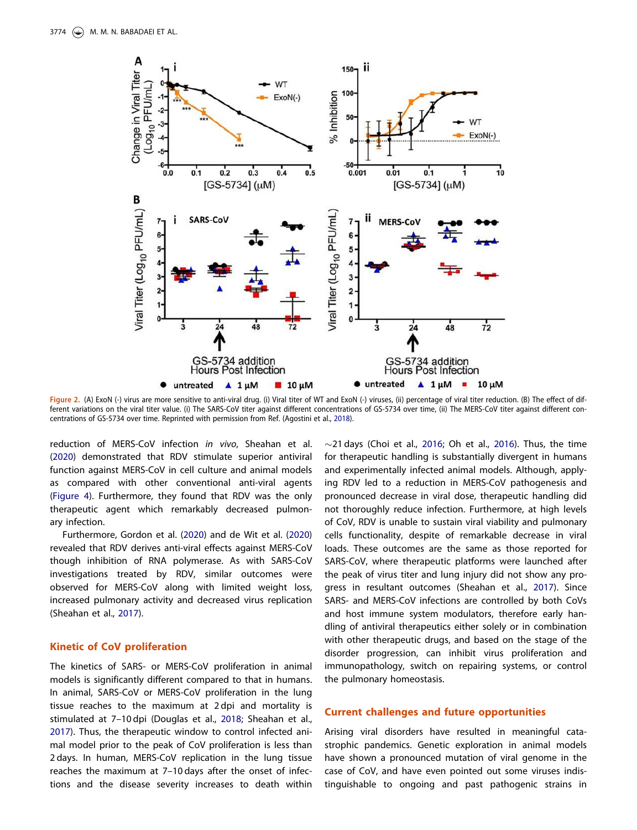

Figure 2. (A) ExoN (-) virus are more sensitive to anti-viral drug. (i) Viral titer of WT and ExoN (-) viruses, (ii) percentage of viral titer reduction. (B) The effect of different variations on the viral titer value. (i) The SARS-CoV titer against different concentrations of GS-5734 over time, (ii) The MERS-CoV titer against different concentrations of GS-5734 over time. Reprinted with permission from Ref. (Agostini et al., 2018).

reduction of MERS-CoV infection in vivo, Sheahan et al. (2020) demonstrated that RDV stimulate superior antiviral function against MERS-CoV in cell culture and animal models as compared with other conventional anti-viral agents (Figure 4). Furthermore, they found that RDV was the only therapeutic agent which remarkably decreased pulmonary infection.

Furthermore, Gordon et al. (2020) and de Wit et al. (2020) revealed that RDV derives anti-viral effects against MERS-CoV though inhibition of RNA polymerase. As with SARS-CoV investigations treated by RDV, similar outcomes were observed for MERS-CoV along with limited weight loss, increased pulmonary activity and decreased virus replication (Sheahan et al., 2017).

# Kinetic of CoV proliferation

The kinetics of SARS- or MERS-CoV proliferation in animal models is significantly different compared to that in humans. In animal, SARS-CoV or MERS-CoV proliferation in the lung tissue reaches to the maximum at 2 dpi and mortality is stimulated at 7–10 dpi (Douglas et al., 2018; Sheahan et al., 2017). Thus, the therapeutic window to control infected animal model prior to the peak of CoV proliferation is less than 2 days. In human, MERS-CoV replication in the lung tissue reaches the maximum at 7–10 days after the onset of infections and the disease severity increases to death within  $\sim$ 21 days (Choi et al., 2016; Oh et al., 2016). Thus, the time for therapeutic handling is substantially divergent in humans and experimentally infected animal models. Although, applying RDV led to a reduction in MERS-CoV pathogenesis and pronounced decrease in viral dose, therapeutic handling did not thoroughly reduce infection. Furthermore, at high levels of CoV, RDV is unable to sustain viral viability and pulmonary cells functionality, despite of remarkable decrease in viral loads. These outcomes are the same as those reported for SARS-CoV, where therapeutic platforms were launched after the peak of virus titer and lung injury did not show any progress in resultant outcomes (Sheahan et al., 2017). Since SARS- and MERS-CoV infections are controlled by both CoVs and host immune system modulators, therefore early handling of antiviral therapeutics either solely or in combination with other therapeutic drugs, and based on the stage of the disorder progression, can inhibit virus proliferation and immunopathology, switch on repairing systems, or control the pulmonary homeostasis.

# Current challenges and future opportunities

Arising viral disorders have resulted in meaningful catastrophic pandemics. Genetic exploration in animal models have shown a pronounced mutation of viral genome in the case of CoV, and have even pointed out some viruses indistinguishable to ongoing and past pathogenic strains in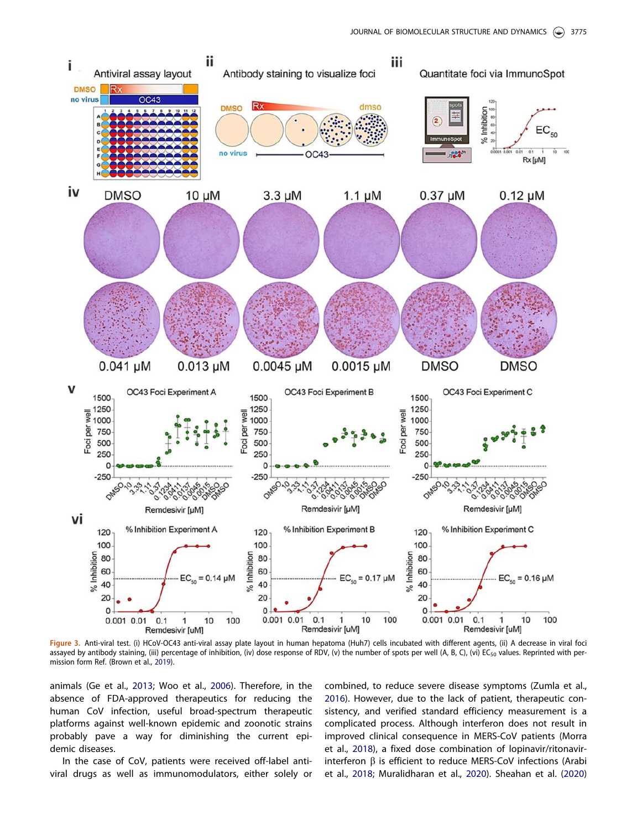

Figure 3. Anti-viral test. (i) HCoV-OC43 anti-viral assay plate layout in human hepatoma (Huh7) cells incubated with different agents, (ii) A decrease in viral foci assayed by antibody staining, (iii) percentage of inhibition, (iv) dose response of RDV, (v) the number of spots per well (A, B, C), (vi) EC<sub>50</sub> values. Reprinted with permission form Ref. (Brown et al., 2019).

animals (Ge et al., 2013; Woo et al., 2006). Therefore, in the absence of FDA-approved therapeutics for reducing the human CoV infection, useful broad-spectrum therapeutic platforms against well-known epidemic and zoonotic strains probably pave a way for diminishing the current epidemic diseases.

In the case of CoV, patients were received off-label antiviral drugs as well as immunomodulators, either solely or combined, to reduce severe disease symptoms (Zumla et al., 2016). However, due to the lack of patient, therapeutic consistency, and verified standard efficiency measurement is a complicated process. Although interferon does not result in improved clinical consequence in MERS-CoV patients (Morra et al., 2018), a fixed dose combination of lopinavir/ritonavirinterferon  $\beta$  is efficient to reduce MERS-CoV infections (Arabi et al., 2018; Muralidharan et al., 2020). Sheahan et al. (2020)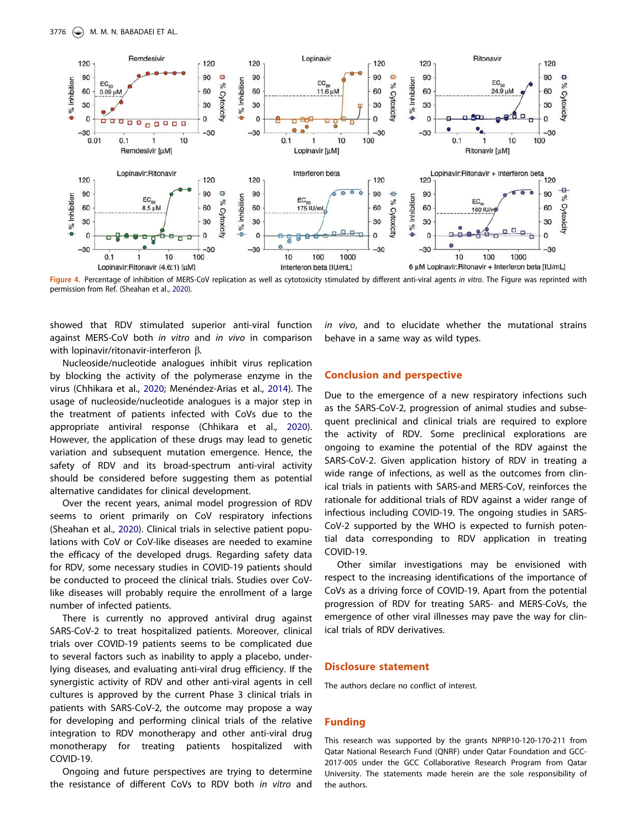

Figure 4. Percentage of inhibition of MERS-CoV replication as well as cytotoxicity stimulated by different anti-viral agents in vitro. The Figure was reprinted with permission from Ref. (Sheahan et al., 2020).

showed that RDV stimulated superior anti-viral function against MERS-CoV both in vitro and in vivo in comparison with lopinavir/ritonavir-interferon  $\beta$ .

Nucleoside/nucleotide analogues inhibit virus replication by blocking the activity of the polymerase enzyme in the virus (Chhikara et al., 2020; Menéndez-Arias et al., 2014). The usage of nucleoside/nucleotide analogues is a major step in the treatment of patients infected with CoVs due to the appropriate antiviral response (Chhikara et al., 2020). However, the application of these drugs may lead to genetic variation and subsequent mutation emergence. Hence, the safety of RDV and its broad-spectrum anti-viral activity should be considered before suggesting them as potential alternative candidates for clinical development.

Over the recent years, animal model progression of RDV seems to orient primarily on CoV respiratory infections (Sheahan et al., 2020). Clinical trials in selective patient populations with CoV or CoV-like diseases are needed to examine the efficacy of the developed drugs. Regarding safety data for RDV, some necessary studies in COVID-19 patients should be conducted to proceed the clinical trials. Studies over CoVlike diseases will probably require the enrollment of a large number of infected patients.

There is currently no approved antiviral drug against SARS-CoV-2 to treat hospitalized patients. Moreover, clinical trials over COVID-19 patients seems to be complicated due to several factors such as inability to apply a placebo, underlying diseases, and evaluating anti-viral drug efficiency. If the synergistic activity of RDV and other anti-viral agents in cell cultures is approved by the current Phase 3 clinical trials in patients with SARS-CoV-2, the outcome may propose a way for developing and performing clinical trials of the relative integration to RDV monotherapy and other anti-viral drug monotherapy for treating patients hospitalized with COVID-19.

Ongoing and future perspectives are trying to determine the resistance of different CoVs to RDV both in vitro and in vivo, and to elucidate whether the mutational strains behave in a same way as wild types.

#### Conclusion and perspective

Due to the emergence of a new respiratory infections such as the SARS-CoV-2, progression of animal studies and subsequent preclinical and clinical trials are required to explore the activity of RDV. Some preclinical explorations are ongoing to examine the potential of the RDV against the SARS-CoV-2. Given application history of RDV in treating a wide range of infections, as well as the outcomes from clinical trials in patients with SARS-and MERS-CoV, reinforces the rationale for additional trials of RDV against a wider range of infectious including COVID-19. The ongoing studies in SARS-CoV-2 supported by the WHO is expected to furnish potential data corresponding to RDV application in treating COVID-19.

Other similar investigations may be envisioned with respect to the increasing identifications of the importance of CoVs as a driving force of COVID-19. Apart from the potential progression of RDV for treating SARS- and MERS-CoVs, the emergence of other viral illnesses may pave the way for clinical trials of RDV derivatives.

#### Disclosure statement

The authors declare no conflict of interest.

### Funding

This research was supported by the grants NPRP10-120-170-211 from Qatar National Research Fund (QNRF) under Qatar Foundation and GCC-2017-005 under the GCC Collaborative Research Program from Qatar University. The statements made herein are the sole responsibility of the authors.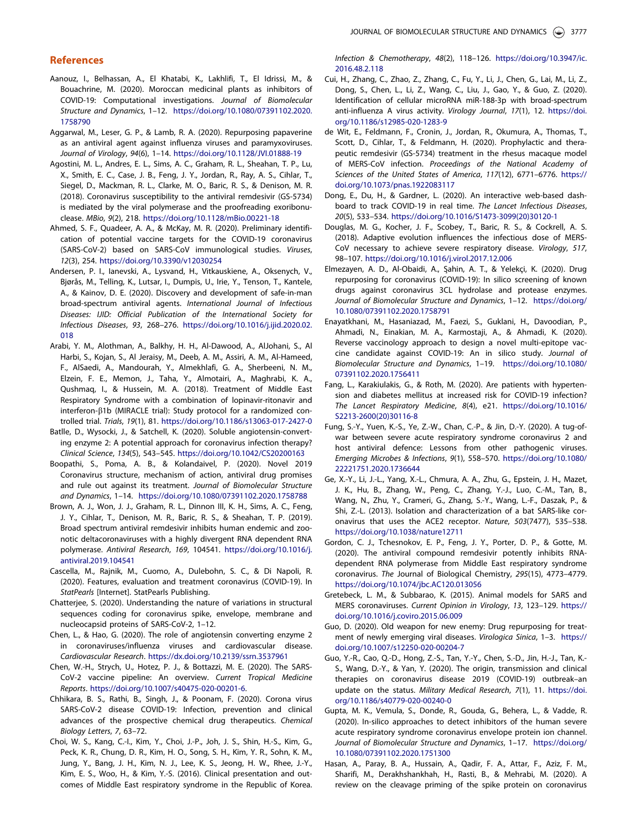#### References

- Aanouz, I., Belhassan, A., El Khatabi, K., Lakhlifi, T., El Idrissi, M., & Bouachrine, M. (2020). Moroccan medicinal plants as inhibitors of COVID-19: Computational investigations. Journal of Biomolecular Structure and Dynamics, 1–12. https://doi.org/10.1080/07391102.2020. 1758790
- Aggarwal, M., Leser, G. P., & Lamb, R. A. (2020). Repurposing papaverine as an antiviral agent against influenza viruses and paramyxoviruses. Journal of Virology, 94(6), 1–14. https://doi.org/10.1128/JVI.01888-19
- Agostini, M. L., Andres, E. L., Sims, A. C., Graham, R. L., Sheahan, T. P., Lu, X., Smith, E. C., Case, J. B., Feng, J. Y., Jordan, R., Ray, A. S., Cihlar, T., Siegel, D., Mackman, R. L., Clarke, M. O., Baric, R. S., & Denison, M. R. (2018). Coronavirus susceptibility to the antiviral remdesivir (GS-5734) is mediated by the viral polymerase and the proofreading exoribonuclease. MBio, 9(2), 218. https://doi.org/10.1128/mBio.00221-18
- Ahmed, S. F., Quadeer, A. A., & McKay, M. R. (2020). Preliminary identification of potential vaccine targets for the COVID-19 coronavirus (SARS-CoV-2) based on SARS-CoV immunological studies. Viruses, 12(3), 254. https://doi.org/10.3390/v12030254
- Andersen, P. I., Ianevski, A., Lysvand, H., Vitkauskiene, A., Oksenych, V., Bjørås, M., Telling, K., Lutsar, I., Dumpis, U., Irie, Y., Tenson, T., Kantele, A., & Kainov, D. E. (2020). Discovery and development of safe-in-man broad-spectrum antiviral agents. International Journal of Infectious Diseases: IJID: Official Publication of the International Society for Infectious Diseases, 93, 268–276. https://doi.org/10.1016/j.ijid.2020.02. 018
- Arabi, Y. M., Alothman, A., Balkhy, H. H., Al-Dawood, A., AlJohani, S., Al Harbi, S., Kojan, S., Al Jeraisy, M., Deeb, A. M., Assiri, A. M., Al-Hameed, F., AlSaedi, A., Mandourah, Y., Almekhlafi, G. A., Sherbeeni, N. M., Elzein, F. E., Memon, J., Taha, Y., Almotairi, A., Maghrabi, K. A., Qushmaq, I., & Hussein, M. A. (2018). Treatment of Middle East Respiratory Syndrome with a combination of lopinavir-ritonavir and interferon- $\beta$ 1b (MIRACLE trial): Study protocol for a randomized controlled trial. Trials, 19(1), 81. https://doi.org/10.1186/s13063-017-2427-0
- Batlle, D., Wysocki, J., & Satchell, K. (2020). Soluble angiotensin-converting enzyme 2: A potential approach for coronavirus infection therapy? Clinical Science, 134(5), 543–545. https://doi.org/10.1042/CS20200163
- Boopathi, S., Poma, A. B., & Kolandaivel, P. (2020). Novel 2019 Coronavirus structure, mechanism of action, antiviral drug promises and rule out against its treatment. Journal of Biomolecular Structure and Dynamics, 1–14. https://doi.org/10.1080/07391102.2020.1758788
- Brown, A. J., Won, J. J., Graham, R. L., Dinnon III, K. H., Sims, A. C., Feng, J. Y., Cihlar, T., Denison, M. R., Baric, R. S., & Sheahan, T. P. (2019). Broad spectrum antiviral remdesivir inhibits human endemic and zoonotic deltacoronaviruses with a highly divergent RNA dependent RNA polymerase. Antiviral Research, 169, 104541. https://doi.org/10.1016/j. antiviral.2019.104541
- Cascella, M., Rajnik, M., Cuomo, A., Dulebohn, S. C., & Di Napoli, R. (2020). Features, evaluation and treatment coronavirus (COVID-19). In StatPearls [Internet]. StatPearls Publishing.
- Chatterjee, S. (2020). Understanding the nature of variations in structural sequences coding for coronavirus spike, envelope, membrane and nucleocapsid proteins of SARS-CoV-2, 1–12.
- Chen, L., & Hao, G. (2020). The role of angiotensin converting enzyme 2 in coronaviruses/influenza viruses and cardiovascular disease. Cardiovascular Research. https://dx.doi.org/10.2139/ssrn.3537961
- Chen, W.-H., Strych, U., Hotez, P. J., & Bottazzi, M. E. (2020). The SARS-CoV-2 vaccine pipeline: An overview. Current Tropical Medicine Reports. https://doi.org/10.1007/s40475-020-00201-6.
- Chhikara, B. S., Rathi, B., Singh, J., & Poonam, F. (2020). Corona virus SARS-CoV-2 disease COVID-19: Infection, prevention and clinical advances of the prospective chemical drug therapeutics. Chemical Biology Letters, 7, 63–72.
- Choi, W. S., Kang, C.-I., Kim, Y., Choi, J.-P., Joh, J. S., Shin, H.-S., Kim, G., Peck, K. R., Chung, D. R., Kim, H. O., Song, S. H., Kim, Y. R., Sohn, K. M., Jung, Y., Bang, J. H., Kim, N. J., Lee, K. S., Jeong, H. W., Rhee, J.-Y., Kim, E. S., Woo, H., & Kim, Y.-S. (2016). Clinical presentation and outcomes of Middle East respiratory syndrome in the Republic of Korea.

Infection & Chemotherapy, 48(2), 118–126. https://doi.org/10.3947/ic. 2016.48.2.118

- Cui, H., Zhang, C., Zhao, Z., Zhang, C., Fu, Y., Li, J., Chen, G., Lai, M., Li, Z., Dong, S., Chen, L., Li, Z., Wang, C., Liu, J., Gao, Y., & Guo, Z. (2020). Identification of cellular microRNA miR-188-3p with broad-spectrum anti-influenza A virus activity. Virology Journal, 17(1), 12. https://doi. org/10.1186/s12985-020-1283-9
- de Wit, E., Feldmann, F., Cronin, J., Jordan, R., Okumura, A., Thomas, T., Scott, D., Cihlar, T., & Feldmann, H. (2020). Prophylactic and therapeutic remdesivir (GS-5734) treatment in the rhesus macaque model of MERS-CoV infection. Proceedings of the National Academy of Sciences of the United States of America, 117(12), 6771–6776. https:// doi.org/10.1073/pnas.1922083117
- Dong, E., Du, H., & Gardner, L. (2020). An interactive web-based dashboard to track COVID-19 in real time. The Lancet Infectious Diseases, 20(5), 533–534. https://doi.org/10.1016/S1473-3099(20)30120-1
- Douglas, M. G., Kocher, J. F., Scobey, T., Baric, R. S., & Cockrell, A. S. (2018). Adaptive evolution influences the infectious dose of MERS-CoV necessary to achieve severe respiratory disease. Virology, 517, 98–107. https://doi.org/10.1016/j.virol.2017.12.006
- Elmezayen, A. D., Al-Obaidi, A., Şahin, A. T., & Yelekçi, K. (2020). Drug repurposing for coronavirus (COVID-19): In silico screening of known drugs against coronavirus 3CL hydrolase and protease enzymes. Journal of Biomolecular Structure and Dynamics, 1–12. https://doi.org/ 10.1080/07391102.2020.1758791
- Enayatkhani, M., Hasaniazad, M., Faezi, S., Guklani, H., Davoodian, P., Ahmadi, N., Einakian, M. A., Karmostaji, A., & Ahmadi, K. (2020). Reverse vaccinology approach to design a novel multi-epitope vaccine candidate against COVID-19: An in silico study. Journal of Biomolecular Structure and Dynamics, 1–19. https://doi.org/10.1080/ 07391102.2020.1756411
- Fang, L., Karakiulakis, G., & Roth, M. (2020). Are patients with hypertension and diabetes mellitus at increased risk for COVID-19 infection? The Lancet Respiratory Medicine, 8(4), e21. https://doi.org/10.1016/ S2213-2600(20)30116-8
- Fung, S.-Y., Yuen, K.-S., Ye, Z.-W., Chan, C.-P., & Jin, D.-Y. (2020). A tug-ofwar between severe acute respiratory syndrome coronavirus 2 and host antiviral defence: Lessons from other pathogenic viruses. Emerging Microbes & Infections, 9(1), 558–570. https://doi.org/10.1080/ 22221751.2020.1736644
- Ge, X.-Y., Li, J.-L., Yang, X.-L., Chmura, A. A., Zhu, G., Epstein, J. H., Mazet, J. K., Hu, B., Zhang, W., Peng, C., Zhang, Y.-J., Luo, C.-M., Tan, B., Wang, N., Zhu, Y., Crameri, G., Zhang, S.-Y., Wang, L.-F., Daszak, P., & Shi, Z.-L. (2013). Isolation and characterization of a bat SARS-like coronavirus that uses the ACE2 receptor. Nature, 503(7477), 535–538. https://doi.org/10.1038/nature12711
- Gordon, C. J., Tchesnokov, E. P., Feng, J. Y., Porter, D. P., & Gotte, M. (2020). The antiviral compound remdesivir potently inhibits RNAdependent RNA polymerase from Middle East respiratory syndrome coronavirus. The Journal of Biological Chemistry, 295(15), 4773–4779. https://doi.org/10.1074/jbc.AC120.013056
- Gretebeck, L. M., & Subbarao, K. (2015). Animal models for SARS and MERS coronaviruses. Current Opinion in Virology, 13, 123–129. https:// doi.org/10.1016/j.coviro.2015.06.009
- Guo, D. (2020). Old weapon for new enemy: Drug repurposing for treatment of newly emerging viral diseases. Virologica Sinica, 1–3. https:// doi.org/10.1007/s12250-020-00204-7
- Guo, Y.-R., Cao, Q.-D., Hong, Z.-S., Tan, Y.-Y., Chen, S.-D., Jin, H.-J., Tan, K.- S., Wang, D.-Y., & Yan, Y. (2020). The origin, transmission and clinical therapies on coronavirus disease 2019 (COVID-19) outbreak–an update on the status. Military Medical Research, 7(1), 11. https://doi. org/10.1186/s40779-020-00240-0
- Gupta, M. K., Vemula, S., Donde, R., Gouda, G., Behera, L., & Vadde, R. (2020). In-silico approaches to detect inhibitors of the human severe acute respiratory syndrome coronavirus envelope protein ion channel. Journal of Biomolecular Structure and Dynamics, 1–17. https://doi.org/ 10.1080/07391102.2020.1751300
- Hasan, A., Paray, B. A., Hussain, A., Qadir, F. A., Attar, F., Aziz, F. M., Sharifi, M., Derakhshankhah, H., Rasti, B., & Mehrabi, M. (2020). A review on the cleavage priming of the spike protein on coronavirus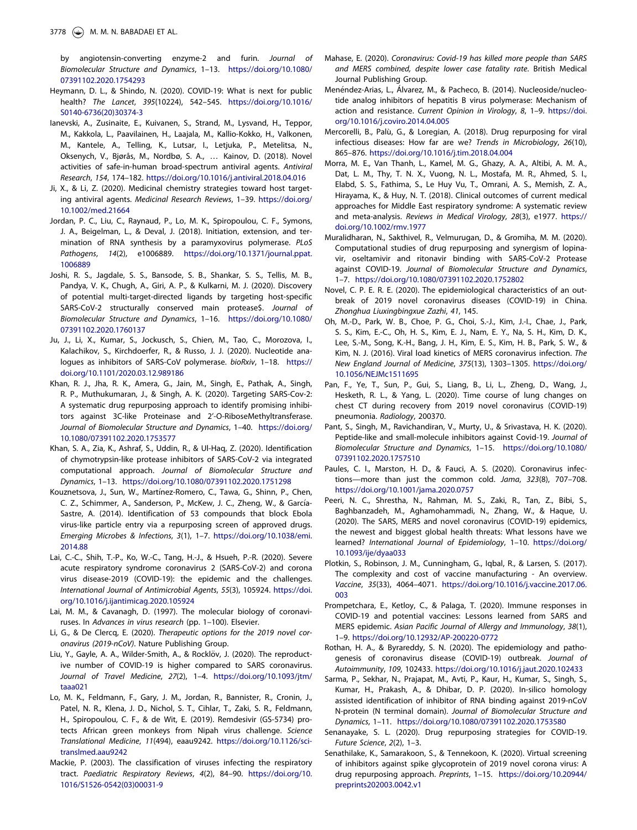by angiotensin-converting enzyme-2 and furin. Journal of Biomolecular Structure and Dynamics, 1–13. https://doi.org/10.1080/ 07391102.2020.1754293

- Heymann, D. L., & Shindo, N. (2020). COVID-19: What is next for public health? The Lancet, 395(10224), 542–545. https://doi.org/10.1016/ S0140-6736(20)30374-3
- Ianevski, A., Zusinaite, E., Kuivanen, S., Strand, M., Lysvand, H., Teppor, M., Kakkola, L., Paavilainen, H., Laajala, M., Kallio-Kokko, H., Valkonen, M., Kantele, A., Telling, K., Lutsar, I., Letjuka, P., Metelitsa, N., Oksenych, V., Bjørås, M., Nordbø, S. A., … Kainov, D. (2018). Novel activities of safe-in-human broad-spectrum antiviral agents. Antiviral Research, 154, 174–182. https://doi.org/10.1016/j.antiviral.2018.04.016
- Ji, X., & Li, Z. (2020). Medicinal chemistry strategies toward host targeting antiviral agents. Medicinal Research Reviews, 1–39. https://doi.org/ 10.1002/med.21664
- Jordan, P. C., Liu, C., Raynaud, P., Lo, M. K., Spiropoulou, C. F., Symons, J. A., Beigelman, L., & Deval, J. (2018). Initiation, extension, and termination of RNA synthesis by a paramyxovirus polymerase. PLoS Pathogens, 14(2), e1006889. https://doi.org/10.1371/journal.ppat. 1006889
- Joshi, R. S., Jagdale, S. S., Bansode, S. B., Shankar, S. S., Tellis, M. B., Pandya, V. K., Chugh, A., Giri, A. P., & Kulkarni, M. J. (2020). Discovery of potential multi-target-directed ligands by targeting host-specific SARS-CoV-2 structurally conserved main protease\$. Journal of Biomolecular Structure and Dynamics, 1–16. https://doi.org/10.1080/ 07391102.2020.1760137
- Ju, J., Li, X., Kumar, S., Jockusch, S., Chien, M., Tao, C., Morozova, I., Kalachikov, S., Kirchdoerfer, R., & Russo, J. J. (2020). Nucleotide analogues as inhibitors of SARS-CoV polymerase. bioRxiv, 1–18. https:// doi.org/10.1101/2020.03.12.989186
- Khan, R. J., Jha, R. K., Amera, G., Jain, M., Singh, E., Pathak, A., Singh, R. P., Muthukumaran, J., & Singh, A. K. (2020). Targeting SARS-Cov-2: A systematic drug repurposing approach to identify promising inhibitors against 3C-like Proteinase and 2'-O-RiboseMethyltransferase. Journal of Biomolecular Structure and Dynamics, 1–40. https://doi.org/ 10.1080/07391102.2020.1753577
- Khan, S. A., Zia, K., Ashraf, S., Uddin, R., & Ul-Haq, Z. (2020). Identification of chymotrypsin-like protease inhibitors of SARS-CoV-2 via integrated computational approach. Journal of Biomolecular Structure and Dynamics, 1–13. https://doi.org/10.1080/07391102.2020.1751298
- Kouznetsova, J., Sun, W., Martínez-Romero, C., Tawa, G., Shinn, P., Chen, C. Z., Schimmer, A., Sanderson, P., McKew, J. C., Zheng, W., & García-Sastre, A. (2014). Identification of 53 compounds that block Ebola virus-like particle entry via a repurposing screen of approved drugs. Emerging Microbes & Infections, 3(1), 1–7. https://doi.org/10.1038/emi. 2014.88
- Lai, C.-C., Shih, T.-P., Ko, W.-C., Tang, H.-J., & Hsueh, P.-R. (2020). Severe acute respiratory syndrome coronavirus 2 (SARS-CoV-2) and corona virus disease-2019 (COVID-19): the epidemic and the challenges. International Journal of Antimicrobial Agents, 55(3), 105924. https://doi. org/10.1016/j.ijantimicag.2020.105924
- Lai, M. M., & Cavanagh, D. (1997). The molecular biology of coronaviruses. In Advances in virus research (pp. 1–100). Elsevier.
- Li, G., & De Clercq, E. (2020). Therapeutic options for the 2019 novel coronavirus (2019-nCoV). Nature Publishing Group.
- Liu, Y., Gayle, A. A., Wilder-Smith, A., & Rocklöv, J. (2020). The reproductive number of COVID-19 is higher compared to SARS coronavirus. Journal of Travel Medicine, 27(2), 1–4. https://doi.org/10.1093/jtm/ taaa021
- Lo, M. K., Feldmann, F., Gary, J. M., Jordan, R., Bannister, R., Cronin, J., Patel, N. R., Klena, J. D., Nichol, S. T., Cihlar, T., Zaki, S. R., Feldmann, H., Spiropoulou, C. F., & de Wit, E. (2019). Remdesivir (GS-5734) protects African green monkeys from Nipah virus challenge. Science Translational Medicine, 11(494), eaau9242. https://doi.org/10.1126/scitranslmed.aau9242
- Mackie, P. (2003). The classification of viruses infecting the respiratory tract. Paediatric Respiratory Reviews, 4(2), 84–90. https://doi.org/10. 1016/S1526-0542(03)00031-9
- Mahase, E. (2020). Coronavirus: Covid-19 has killed more people than SARS and MERS combined, despite lower case fatality rate. British Medical Journal Publishing Group.
- Menéndez-Arias, L., Álvarez, M., & Pacheco, B. (2014). Nucleoside/nucleotide analog inhibitors of hepatitis B virus polymerase: Mechanism of action and resistance. Current Opinion in Virology, 8, 1–9. https://doi. org/10.1016/j.coviro.2014.04.005
- Mercorelli, B., Palù, G., & Loregian, A. (2018). Drug repurposing for viral infectious diseases: How far are we? Trends in Microbiology, 26(10), 865–876. https://doi.org/10.1016/j.tim.2018.04.004
- Morra, M. E., Van Thanh, L., Kamel, M. G., Ghazy, A. A., Altibi, A. M. A., Dat, L. M., Thy, T. N. X., Vuong, N. L., Mostafa, M. R., Ahmed, S. I., Elabd, S. S., Fathima, S., Le Huy Vu, T., Omrani, A. S., Memish, Z. A., Hirayama, K., & Huy, N. T. (2018). Clinical outcomes of current medical approaches for Middle East respiratory syndrome: A systematic review and meta-analysis. Reviews in Medical Virology, 28(3), e1977. https:// doi.org/10.1002/rmv.1977
- Muralidharan, N., Sakthivel, R., Velmurugan, D., & Gromiha, M. M. (2020). Computational studies of drug repurposing and synergism of lopinavir, oseltamivir and ritonavir binding with SARS-CoV-2 Protease against COVID-19. Journal of Biomolecular Structure and Dynamics, 1–7. https://doi.org/10.1080/07391102.2020.1752802
- Novel, C. P. E. R. E. (2020). The epidemiological characteristics of an outbreak of 2019 novel coronavirus diseases (COVID-19) in China. Zhonghua Liuxingbingxue Zazhi, 41, 145.
- Oh, M.-D., Park, W. B., Choe, P. G., Choi, S.-J., Kim, J.-I., Chae, J., Park, S. S., Kim, E.-C., Oh, H. S., Kim, E. J., Nam, E. Y., Na, S. H., Kim, D. K., Lee, S.-M., Song, K.-H., Bang, J. H., Kim, E. S., Kim, H. B., Park, S. W., & Kim, N. J. (2016). Viral load kinetics of MERS coronavirus infection. The New England Journal of Medicine, 375(13), 1303–1305. https://doi.org/ 10.1056/NEJMc1511695
- Pan, F., Ye, T., Sun, P., Gui, S., Liang, B., Li, L., Zheng, D., Wang, J., Hesketh, R. L., & Yang, L. (2020). Time course of lung changes on chest CT during recovery from 2019 novel coronavirus (COVID-19) pneumonia. Radiology, 200370.
- Pant, S., Singh, M., Ravichandiran, V., Murty, U., & Srivastava, H. K. (2020). Peptide-like and small-molecule inhibitors against Covid-19. Journal of Biomolecular Structure and Dynamics, 1–15. https://doi.org/10.1080/ 07391102.2020.1757510
- Paules, C. I., Marston, H. D., & Fauci, A. S. (2020). Coronavirus infections—more than just the common cold. Jama, 323(8), 707–708. https://doi.org/10.1001/jama.2020.0757
- Peeri, N. C., Shrestha, N., Rahman, M. S., Zaki, R., Tan, Z., Bibi, S., Baghbanzadeh, M., Aghamohammadi, N., Zhang, W., & Haque, U. (2020). The SARS, MERS and novel coronavirus (COVID-19) epidemics, the newest and biggest global health threats: What lessons have we learned? International Journal of Epidemiology, 1–10. https://doi.org/ 10.1093/ije/dyaa033
- Plotkin, S., Robinson, J. M., Cunningham, G., Iqbal, R., & Larsen, S. (2017). The complexity and cost of vaccine manufacturing - An overview. Vaccine, 35(33), 4064–4071. https://doi.org/10.1016/j.vaccine.2017.06. 003
- Prompetchara, E., Ketloy, C., & Palaga, T. (2020). Immune responses in COVID-19 and potential vaccines: Lessons learned from SARS and MERS epidemic. Asian Pacific Journal of Allergy and Immunology, 38(1), 1–9. https://doi.org/10.12932/AP-200220-0772
- Rothan, H. A., & Byrareddy, S. N. (2020). The epidemiology and pathogenesis of coronavirus disease (COVID-19) outbreak. Journal of Autoimmunity, 109, 102433. https://doi.org/10.1016/j.jaut.2020.102433
- Sarma, P., Sekhar, N., Prajapat, M., Avti, P., Kaur, H., Kumar, S., Singh, S., Kumar, H., Prakash, A., & Dhibar, D. P. (2020). In-silico homology assisted identification of inhibitor of RNA binding against 2019-nCoV N-protein (N terminal domain). Journal of Biomolecular Structure and Dynamics, 1–11. https://doi.org/10.1080/07391102.2020.1753580
- Senanayake, S. L. (2020). Drug repurposing strategies for COVID-19. Future Science, 2(2), 1–3.
- Senathilake, K., Samarakoon, S., & Tennekoon, K. (2020). Virtual screening of inhibitors against spike glycoprotein of 2019 novel corona virus: A drug repurposing approach. Preprints, 1–15. https://doi.org/10.20944/ preprints202003.0042.v1